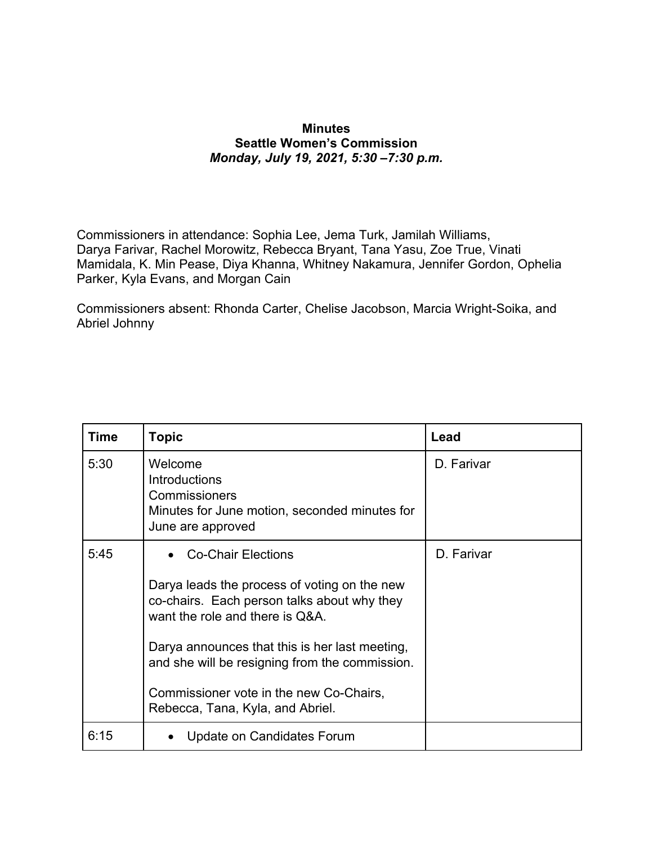## **Minutes Seattle Women's Commission** *Monday, July 19, 2021, 5:30 –7:30 p.m.*

Commissioners in attendance: Sophia Lee, Jema Turk, Jamilah Williams, Darya Farivar, Rachel Morowitz, Rebecca Bryant, Tana Yasu, Zoe True, Vinati Mamidala, K. Min Pease, Diya Khanna, Whitney Nakamura, Jennifer Gordon, Ophelia Parker, Kyla Evans, and Morgan Cain

Commissioners absent: Rhonda Carter, Chelise Jacobson, Marcia Wright-Soika, and Abriel Johnny

| <b>Time</b> | <b>Topic</b>                                                                                                                   | Lead       |
|-------------|--------------------------------------------------------------------------------------------------------------------------------|------------|
| 5:30        | Welcome<br><b>Introductions</b><br>Commissioners<br>Minutes for June motion, seconded minutes for<br>June are approved         | D. Farivar |
| 5:45        | <b>Co-Chair Elections</b>                                                                                                      | D. Farivar |
|             | Darya leads the process of voting on the new<br>co-chairs. Each person talks about why they<br>want the role and there is Q&A. |            |
|             | Darya announces that this is her last meeting,<br>and she will be resigning from the commission.                               |            |
|             | Commissioner vote in the new Co-Chairs,<br>Rebecca, Tana, Kyla, and Abriel.                                                    |            |
| 6:15        | Update on Candidates Forum                                                                                                     |            |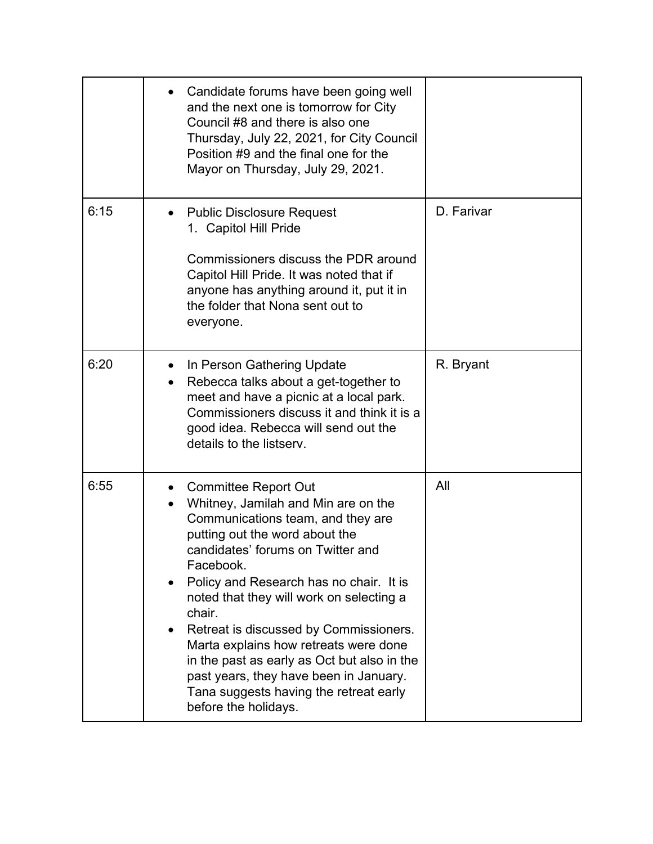|      | Candidate forums have been going well<br>and the next one is tomorrow for City<br>Council #8 and there is also one<br>Thursday, July 22, 2021, for City Council<br>Position #9 and the final one for the<br>Mayor on Thursday, July 29, 2021.                                                                                                                                                                                                                                                                                              |            |
|------|--------------------------------------------------------------------------------------------------------------------------------------------------------------------------------------------------------------------------------------------------------------------------------------------------------------------------------------------------------------------------------------------------------------------------------------------------------------------------------------------------------------------------------------------|------------|
| 6:15 | <b>Public Disclosure Request</b><br>1. Capitol Hill Pride<br>Commissioners discuss the PDR around<br>Capitol Hill Pride. It was noted that if<br>anyone has anything around it, put it in<br>the folder that Nona sent out to<br>everyone.                                                                                                                                                                                                                                                                                                 | D. Farivar |
| 6:20 | In Person Gathering Update<br>Rebecca talks about a get-together to<br>meet and have a picnic at a local park.<br>Commissioners discuss it and think it is a<br>good idea. Rebecca will send out the<br>details to the listsery.                                                                                                                                                                                                                                                                                                           | R. Bryant  |
| 6:55 | <b>Committee Report Out</b><br>Whitney, Jamilah and Min are on the<br>Communications team, and they are<br>putting out the word about the<br>candidates' forums on Twitter and<br>Facebook.<br>Policy and Research has no chair. It is<br>noted that they will work on selecting a<br>chair.<br>Retreat is discussed by Commissioners.<br>Marta explains how retreats were done<br>in the past as early as Oct but also in the<br>past years, they have been in January.<br>Tana suggests having the retreat early<br>before the holidays. | All        |